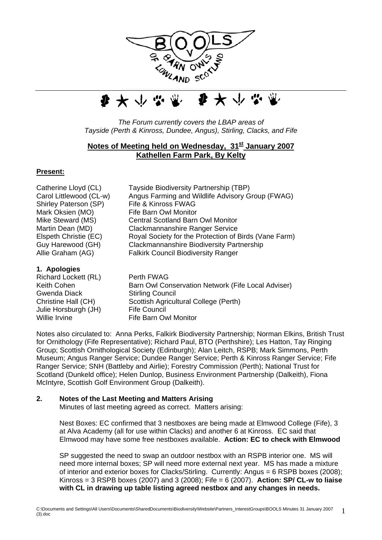



*The Forum currently covers the LBAP areas of Tayside (Perth & Kinross, Dundee, Angus), Stirling, Clacks, and Fife*

# **Notes of Meeting held on Wednesday, 31<sup>st</sup> January 2007 Kathellen Farm Park, By Kelty**

#### **Present:**

Catherine Lloyd (CL) Tayside Biodiversity Partnership (TBP) Carol Littlewood (CL-w) Angus Farming and Wildlife Advisory Group (FWAG) Shirley Paterson (SP) Fife & Kinross FWAG Mark Oksien (MO) Fife Barn Owl Monitor Mike Steward (MS) Central Scotland Barn Owl Monitor Martin Dean (MD) Clackmannanshire Ranger Service Elspeth Christie (EC) Royal Society for the Protection of Birds (Vane Farm) Guy Harewood (GH) Clackmannanshire Biodiversity Partnership Allie Graham (AG) Falkirk Council Biodiversity Ranger **1. Apologies**  Richard Lockett (RL) Perth FWAG

Keith Cohen **Barn Owl Conservation Network (Fife Local Adviser)** Gwenda Diack Stirling Council Christine Hall (CH) Scottish Agricultural College (Perth) Julie Horsburgh (JH) Fife Council Willie Irvine **Fife Barn Owl Monitor** 

Notes also circulated to: Anna Perks, Falkirk Biodiversity Partnership; Norman Elkins, British Trust for Ornithology (Fife Representative); Richard Paul, BTO (Perthshire); Les Hatton, Tay Ringing Group; Scottish Ornithological Society (Edinburgh); Alan Leitch, RSPB; Mark Simmons, Perth Museum; Angus Ranger Service; Dundee Ranger Service; Perth & Kinross Ranger Service; Fife Ranger Service; SNH (Battleby and Airlie); Forestry Commission (Perth); National Trust for Scotland (Dunkeld office); Helen Dunlop, Business Environment Partnership (Dalkeith), Fiona McIntyre, Scottish Golf Environment Group (Dalkeith).

#### **2. Notes of the Last Meeting and Matters Arising**

Minutes of last meeting agreed as correct. Matters arising:

Nest Boxes: EC confirmed that 3 nestboxes are being made at Elmwood College (Fife), 3 at Alva Academy (all for use within Clacks) and another 6 at Kinross. EC said that Elmwood may have some free nestboxes available. **Action: EC to check with Elmwood** 

SP suggested the need to swap an outdoor nestbox with an RSPB interior one. MS will need more internal boxes; SP will need more external next year. MS has made a mixture of interior and exterior boxes for Clacks/Stirling. Currently: Angus = 6 RSPB boxes (2008); Kinross = 3 RSPB boxes (2007) and 3 (2008); Fife = 6 (2007). **Action: SP/ CL-w to liaise with CL in drawing up table listing agreed nestbox and any changes in needs.**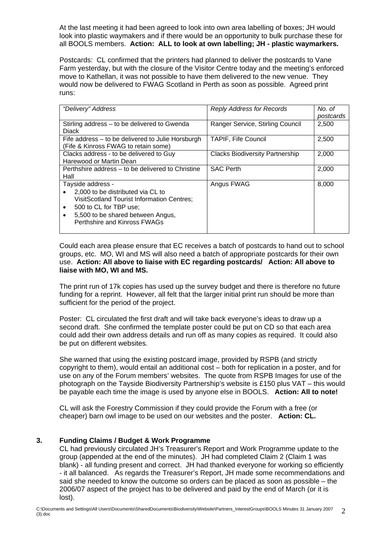At the last meeting it had been agreed to look into own area labelling of boxes; JH would look into plastic waymakers and if there would be an opportunity to bulk purchase these for all BOOLS members. **Action: ALL to look at own labelling; JH - plastic waymarkers.** 

Postcards: CL confirmed that the printers had planned to deliver the postcards to Vane Farm yesterday, but with the closure of the Visitor Centre today and the meeting's enforced move to Kathellan, it was not possible to have them delivered to the new venue. They would now be delivered to FWAG Scotland in Perth as soon as possible. Agreed print runs:

| "Delivery" Address                                | <b>Reply Address for Records</b>       | No. of    |
|---------------------------------------------------|----------------------------------------|-----------|
|                                                   |                                        | postcards |
| Stirling address – to be delivered to Gwenda      | Ranger Service, Stirling Council       | 2.500     |
| <b>Diack</b>                                      |                                        |           |
| Fife address – to be delivered to Julie Horsburgh | <b>TAPIF, Fife Council</b>             | 2,500     |
| (Fife & Kinross FWAG to retain some)              |                                        |           |
| Clacks address - to be delivered to Guy           | <b>Clacks Biodiversity Partnership</b> | 2,000     |
| Harewood or Martin Dean                           |                                        |           |
| Perthshire address – to be delivered to Christine | <b>SAC Perth</b>                       | 2,000     |
| Hall                                              |                                        |           |
| Tayside address -                                 | Angus FWAG                             | 8,000     |
| 2,000 to be distributed via CL to                 |                                        |           |
| <b>VisitScotland Tourist Information Centres;</b> |                                        |           |
| 500 to CL for TBP use;                            |                                        |           |
| 5,500 to be shared between Angus,<br>٠            |                                        |           |
| Perthshire and Kinross FWAGs                      |                                        |           |
|                                                   |                                        |           |

Could each area please ensure that EC receives a batch of postcards to hand out to school groups, etc. MO, WI and MS will also need a batch of appropriate postcards for their own use. **Action: All above to liaise with EC regarding postcards/ Action: All above to liaise with MO, WI and MS.** 

The print run of 17k copies has used up the survey budget and there is therefore no future funding for a reprint. However, all felt that the larger initial print run should be more than sufficient for the period of the project.

Poster: CL circulated the first draft and will take back everyone's ideas to draw up a second draft. She confirmed the template poster could be put on CD so that each area could add their own address details and run off as many copies as required. It could also be put on different websites.

She warned that using the existing postcard image, provided by RSPB (and strictly copyright to them), would entail an additional cost – both for replication in a poster, and for use on any of the Forum members' websites. The quote from RSPB Images for use of the photograph on the Tayside Biodiversity Partnership's website is £150 plus VAT – this would be payable each time the image is used by anyone else in BOOLS. **Action: All to note!**

CL will ask the Forestry Commission if they could provide the Forum with a free (or cheaper) barn owl image to be used on our websites and the poster. **Action: CL.** 

# **3. Funding Claims / Budget & Work Programme**

CL had previously circulated JH's Treasurer's Report and Work Programme update to the group (appended at the end of the minutes). JH had completed Claim 2 (Claim 1 was blank) - all funding present and correct. JH had thanked everyone for working so efficiently - it all balanced. As regards the Treasurer's Report, JH made some recommendations and said she needed to know the outcome so orders can be placed as soon as possible – the 2006/07 aspect of the project has to be delivered and paid by the end of March (or it is lost).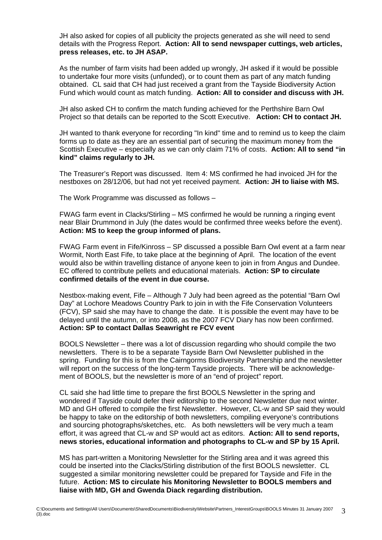JH also asked for copies of all publicity the projects generated as she will need to send details with the Progress Report. **Action: All to send newspaper cuttings, web articles, press releases, etc. to JH ASAP.** 

As the number of farm visits had been added up wrongly, JH asked if it would be possible to undertake four more visits (unfunded), or to count them as part of any match funding obtained. CL said that CH had just received a grant from the Tayside Biodiversity Action Fund which would count as match funding. **Action: All to consider and discuss with JH.** 

JH also asked CH to confirm the match funding achieved for the Perthshire Barn Owl Project so that details can be reported to the Scott Executive. **Action: CH to contact JH.** 

JH wanted to thank everyone for recording "In kind" time and to remind us to keep the claim forms up to date as they are an essential part of securing the maximum money from the Scottish Executive – especially as we can only claim 71% of costs. **Action: All to send "in kind" claims regularly to JH.** 

The Treasurer's Report was discussed. Item 4: MS confirmed he had invoiced JH for the nestboxes on 28/12/06, but had not yet received payment. **Action: JH to liaise with MS.** 

The Work Programme was discussed as follows –

FWAG farm event in Clacks/Stirling – MS confirmed he would be running a ringing event near Blair Drummond in July (the dates would be confirmed three weeks before the event). **Action: MS to keep the group informed of plans.** 

FWAG Farm event in Fife/Kinross – SP discussed a possible Barn Owl event at a farm near Wormit, North East Fife, to take place at the beginning of April. The location of the event would also be within travelling distance of anyone keen to join in from Angus and Dundee. EC offered to contribute pellets and educational materials. **Action: SP to circulate confirmed details of the event in due course.** 

Nestbox-making event, Fife – Although 7 July had been agreed as the potential "Barn Owl Day" at Lochore Meadows Country Park to join in with the Fife Conservation Volunteers (FCV), SP said she may have to change the date. It is possible the event may have to be delayed until the autumn, or into 2008, as the 2007 FCV Diary has now been confirmed. **Action: SP to contact Dallas Seawright re FCV event** 

BOOLS Newsletter – there was a lot of discussion regarding who should compile the two newsletters. There is to be a separate Tayside Barn Owl Newsletter published in the spring. Funding for this is from the Cairngorms Biodiversity Partnership and the newsletter will report on the success of the long-term Tayside projects. There will be acknowledgement of BOOLS, but the newsletter is more of an "end of project" report.

CL said she had little time to prepare the first BOOLS Newsletter in the spring and wondered if Tayside could defer their editorship to the second Newsletter due next winter. MD and GH offered to compile the first Newsletter. However, CL-w and SP said they would be happy to take on the editorship of both newsletters, compiling everyone's contributions and sourcing photographs/sketches, etc. As both newsletters will be very much a team effort, it was agreed that CL-w and SP would act as editors. **Action: All to send reports, news stories, educational information and photographs to CL-w and SP by 15 April.**

MS has part-written a Monitoring Newsletter for the Stirling area and it was agreed this could be inserted into the Clacks/Stirling distribution of the first BOOLS newsletter. CL suggested a similar monitoring newsletter could be prepared for Tayside and Fife in the future. **Action: MS to circulate his Monitoring Newsletter to BOOLS members and liaise with MD, GH and Gwenda Diack regarding distribution.**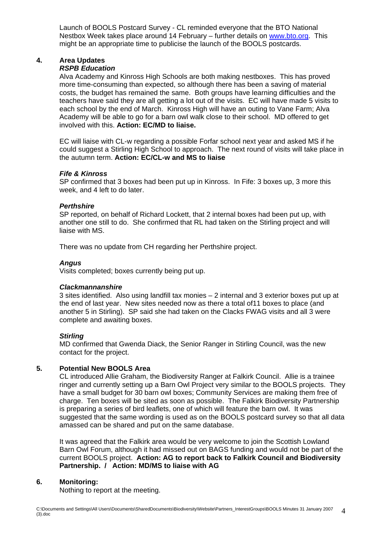Launch of BOOLS Postcard Survey - CL reminded everyone that the BTO National Nestbox Week takes place around 14 February – further details on [www.bto.org.](http://www.bto.org/) This might be an appropriate time to publicise the launch of the BOOLS postcards.

# **4. Area Updates**

#### *RSPB Education*

Alva Academy and Kinross High Schools are both making nestboxes. This has proved more time-consuming than expected, so although there has been a saving of material costs, the budget has remained the same. Both groups have learning difficulties and the teachers have said they are all getting a lot out of the visits. EC will have made 5 visits to each school by the end of March. Kinross High will have an outing to Vane Farm; Alva Academy will be able to go for a barn owl walk close to their school. MD offered to get involved with this. **Action: EC/MD to liaise.** 

EC will liaise with CL-w regarding a possible Forfar school next year and asked MS if he could suggest a Stirling High School to approach. The next round of visits will take place in the autumn term. **Action: EC/CL-w and MS to liaise** 

# *Fife & Kinross*

SP confirmed that 3 boxes had been put up in Kinross. In Fife: 3 boxes up, 3 more this week, and 4 left to do later.

#### *Perthshire*

SP reported, on behalf of Richard Lockett, that 2 internal boxes had been put up, with another one still to do. She confirmed that RL had taken on the Stirling project and will liaise with MS.

There was no update from CH regarding her Perthshire project.

#### *Angus*

Visits completed; boxes currently being put up.

#### *Clackmannanshire*

3 sites identified. Also using landfill tax monies – 2 internal and 3 exterior boxes put up at the end of last year. New sites needed now as there a total of11 boxes to place (and another 5 in Stirling). SP said she had taken on the Clacks FWAG visits and all 3 were complete and awaiting boxes.

#### *Stirling*

MD confirmed that Gwenda Diack, the Senior Ranger in Stirling Council, was the new contact for the project.

#### **5. Potential New BOOLS Area**

CL introduced Allie Graham, the Biodiversity Ranger at Falkirk Council. Allie is a trainee ringer and currently setting up a Barn Owl Project very similar to the BOOLS projects. They have a small budget for 30 barn owl boxes; Community Services are making them free of charge. Ten boxes will be sited as soon as possible. The Falkirk Biodiversity Partnership is preparing a series of bird leaflets, one of which will feature the barn owl. It was suggested that the same wording is used as on the BOOLS postcard survey so that all data amassed can be shared and put on the same database.

It was agreed that the Falkirk area would be very welcome to join the Scottish Lowland Barn Owl Forum, although it had missed out on BAGS funding and would not be part of the current BOOLS project. **Action: AG to report back to Falkirk Council and Biodiversity Partnership. / Action: MD/MS to liaise with AG** 

#### **6. Monitoring:**

Nothing to report at the meeting.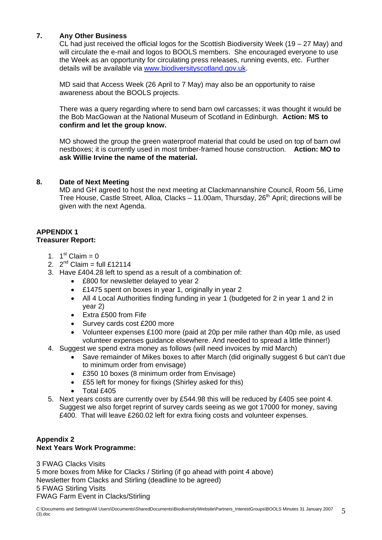# **7. Any Other Business**

CL had just received the official logos for the Scottish Biodiversity Week (19 – 27 May) and will circulate the e-mail and logos to BOOLS members. She encouraged everyone to use the Week as an opportunity for circulating press releases, running events, etc. Further details will be available via [www.biodiversityscotland.gov.uk](http://www.biodiversityscotland.gov.uk/).

MD said that Access Week (26 April to 7 May) may also be an opportunity to raise awareness about the BOOLS projects.

There was a query regarding where to send barn owl carcasses; it was thought it would be the Bob MacGowan at the National Museum of Scotland in Edinburgh. **Action: MS to confirm and let the group know.** 

MO showed the group the green waterproof material that could be used on top of barn owl nestboxes; it is currently used in most timber-framed house construction. **Action: MO to ask Willie Irvine the name of the material.** 

# **8. Date of Next Meeting**

MD and GH agreed to host the next meeting at Clackmannanshire Council, Room 56, Lime Tree House, Castle Street, Alloa, Clacks – 11.00am, Thursday,  $26<sup>th</sup>$  April; directions will be given with the next Agenda.

# **APPENDIX 1**

# **Treasurer Report:**

- 1.  $1^{st}$  Claim = 0
- 2.  $2^{nd}$  Claim = full £12114
- 3. Have £404.28 left to spend as a result of a combination of:
	- £800 for newsletter delayed to year 2
	- £1475 spent on boxes in year 1, originally in year 2
	- All 4 Local Authorities finding funding in year 1 (budgeted for 2 in year 1 and 2 in year 2)
	- Extra £500 from Fife
	- Survey cards cost £200 more
	- Volunteer expenses £100 more (paid at 20p per mile rather than 40p mile, as used volunteer expenses guidance elsewhere. And needed to spread a little thinner!)
- 4. Suggest we spend extra money as follows (will need invoices by mid March)
	- Save remainder of Mikes boxes to after March (did originally suggest 6 but can't due to minimum order from envisage)
	- £350 10 boxes (8 minimum order from Envisage)
	- £55 left for money for fixings (Shirley asked for this)
	- Total £405
- 5. Next years costs are currently over by £544.98 this will be reduced by £405 see point 4. Suggest we also forget reprint of survey cards seeing as we got 17000 for money, saving £400. That will leave £260.02 left for extra fixing costs and volunteer expenses.

# **Appendix 2 Next Years Work Programme:**

3 FWAG Clacks Visits 5 more boxes from Mike for Clacks / Stirling (if go ahead with point 4 above) Newsletter from Clacks and Stirling (deadline to be agreed) 5 FWAG Stirling Visits FWAG Farm Event in Clacks/Stirling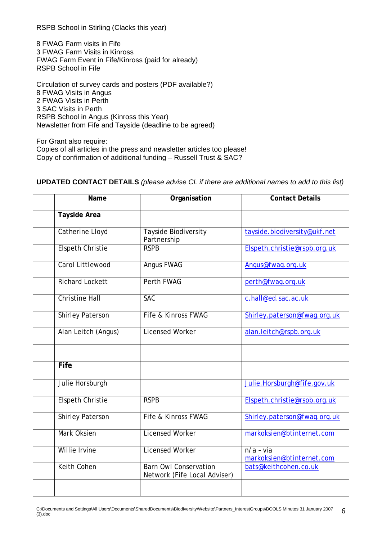RSPB School in Stirling (Clacks this year)

8 FWAG Farm visits in Fife 3 FWAG Farm Visits in Kinross FWAG Farm Event in Fife/Kinross (paid for already) RSPB School in Fife

Circulation of survey cards and posters (PDF available?) 8 FWAG Visits in Angus 2 FWAG Visits in Perth 3 SAC Visits in Perth RSPB School in Angus (Kinross this Year) Newsletter from Fife and Tayside (deadline to be agreed)

For Grant also require: Copies of all articles in the press and newsletter articles too please! Copy of confirmation of additional funding – Russell Trust & SAC?

| Name                    | Organisation                                                 | <b>Contact Details</b>                   |
|-------------------------|--------------------------------------------------------------|------------------------------------------|
| <b>Tayside Area</b>     |                                                              |                                          |
| <b>Catherine Lloyd</b>  | <b>Tayside Biodiversity</b><br>Partnership                   | tayside.biodiversity@ukf.net             |
| <b>Elspeth Christie</b> | <b>RSPB</b>                                                  | Elspeth.christie@rspb.org.uk             |
| Carol Littlewood        | <b>Angus FWAG</b>                                            | Angus@fwag.org.uk                        |
| <b>Richard Lockett</b>  | <b>Perth FWAG</b>                                            | perth@fwag.org.uk                        |
| <b>Christine Hall</b>   | <b>SAC</b>                                                   | c.hall@ed.sac.ac.uk                      |
| <b>Shirley Paterson</b> | Fife & Kinross FWAG                                          | Shirley.paterson@fwag.org.uk             |
| Alan Leitch (Angus)     | <b>Licensed Worker</b>                                       | alan.leitch@rspb.org.uk                  |
|                         |                                                              |                                          |
| Fife                    |                                                              |                                          |
| Julie Horsburgh         |                                                              | Julie.Horsburgh@fife.gov.uk              |
| <b>Elspeth Christie</b> | <b>RSPB</b>                                                  | Elspeth.christie@rspb.org.uk             |
| <b>Shirley Paterson</b> | Fife & Kinross FWAG                                          | Shirley.paterson@fwag.org.uk             |
| <b>Mark Oksien</b>      | <b>Licensed Worker</b>                                       | markoksien@btinternet.com                |
| Willie Irvine           | <b>Licensed Worker</b>                                       | $n/a - via$<br>markoksien@btinternet.com |
| <b>Keith Cohen</b>      | <b>Barn Owl Conservation</b><br>Network (Fife Local Adviser) | bats@keithcohen.co.uk                    |
|                         |                                                              |                                          |

#### **UPDATED CONTACT DETAILS** *(please advise CL if there are additional names to add to this list)*